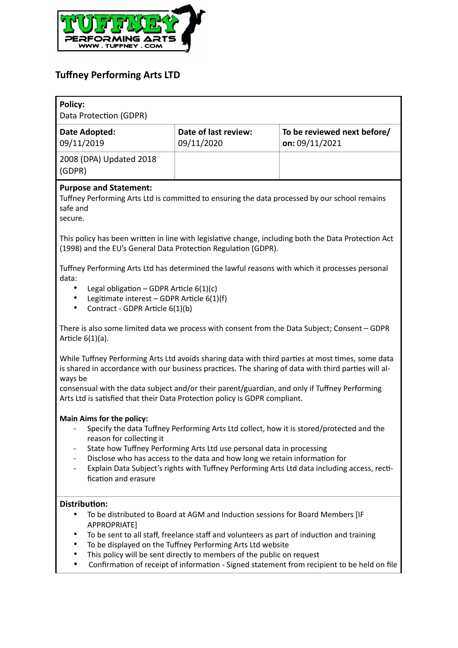

# **Tuffney Performing Arts LTD**

| Policy:<br>Data Protection (GDPR)                                                                                                                                                                                                                                                                                                                                                                                                                                                |                                    |                                               |
|----------------------------------------------------------------------------------------------------------------------------------------------------------------------------------------------------------------------------------------------------------------------------------------------------------------------------------------------------------------------------------------------------------------------------------------------------------------------------------|------------------------------------|-----------------------------------------------|
| Date Adopted:<br>09/11/2019                                                                                                                                                                                                                                                                                                                                                                                                                                                      | Date of last review:<br>09/11/2020 | To be reviewed next before/<br>on: 09/11/2021 |
| 2008 (DPA) Updated 2018<br>(GDPR)                                                                                                                                                                                                                                                                                                                                                                                                                                                |                                    |                                               |
| <b>Purpose and Statement:</b><br>Tuffney Performing Arts Ltd is committed to ensuring the data processed by our school remains<br>safe and<br>secure.                                                                                                                                                                                                                                                                                                                            |                                    |                                               |
| This policy has been written in line with legislative change, including both the Data Protection Act<br>(1998) and the EU's General Data Protection Regulation (GDPR).                                                                                                                                                                                                                                                                                                           |                                    |                                               |
| Tuffney Performing Arts Ltd has determined the lawful reasons with which it processes personal<br>data:<br>Legal obligation - GDPR Article $6(1)(c)$<br>Legitimate interest - GDPR Article 6(1)(f)<br>٠<br>Contract - GDPR Article 6(1)(b)<br>٠                                                                                                                                                                                                                                  |                                    |                                               |
| There is also some limited data we process with consent from the Data Subject; Consent - GDPR<br>Article $6(1)(a)$ .                                                                                                                                                                                                                                                                                                                                                             |                                    |                                               |
| While Tuffney Performing Arts Ltd avoids sharing data with third parties at most times, some data<br>is shared in accordance with our business practices. The sharing of data with third parties will al-<br>ways be<br>consensual with the data subject and/or their parent/guardian, and only if Tuffney Performing<br>Arts Ltd is satisfied that their Data Protection policy is GDPR compliant.                                                                              |                                    |                                               |
| <b>Main Aims for the policy:</b><br>Specify the data Tuffney Performing Arts Ltd collect, how it is stored/protected and the<br>reason for collecting it<br>State how Tuffney Performing Arts Ltd use personal data in processing<br>Disclose who has access to the data and how long we retain information for<br>Explain Data Subject's rights with Tuffney Performing Arts Ltd data including access, recti-<br>fication and erasure                                          |                                    |                                               |
| <b>Distribution:</b><br>To be distributed to Board at AGM and Induction sessions for Board Members [IF<br>APPROPRIATE]<br>To be sent to all staff, freelance staff and volunteers as part of induction and training<br>٠<br>To be displayed on the Tuffney Performing Arts Ltd website<br>٠<br>This policy will be sent directly to members of the public on request<br>$\bullet$<br>Confirmation of receipt of information - Signed statement from recipient to be held on file |                                    |                                               |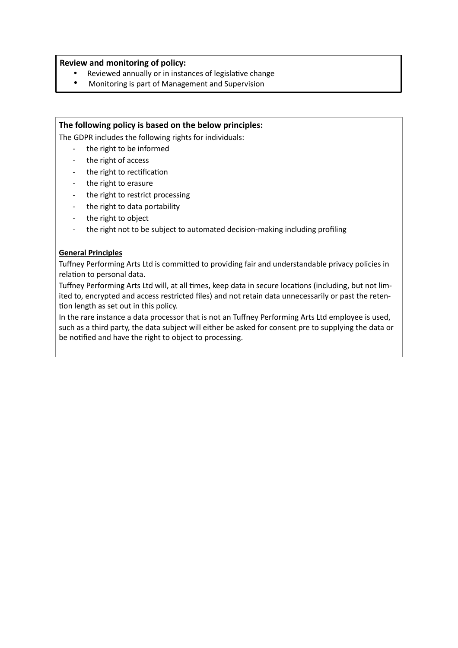## **Review and monitoring of policy:**

- Reviewed annually or in instances of legislative change
- Monitoring is part of Management and Supervision

## **The following policy is based on the below principles:**

The GDPR includes the following rights for individuals:

- the right to be informed
- the right of access
- the right to rectification
- the right to erasure
- the right to restrict processing
- the right to data portability
- the right to object
- the right not to be subject to automated decision-making including profiling

## **General Principles**

Tuffney Performing Arts Ltd is committed to providing fair and understandable privacy policies in relation to personal data.

Tuffney Performing Arts Ltd will, at all times, keep data in secure locations (including, but not limited to, encrypted and access restricted files) and not retain data unnecessarily or past the reten tion length as set out in this policy.

In the rare instance a data processor that is not an Tuffney Performing Arts Ltd employee is used, such as a third party, the data subject will either be asked for consent pre to supplying the data or be notified and have the right to object to processing.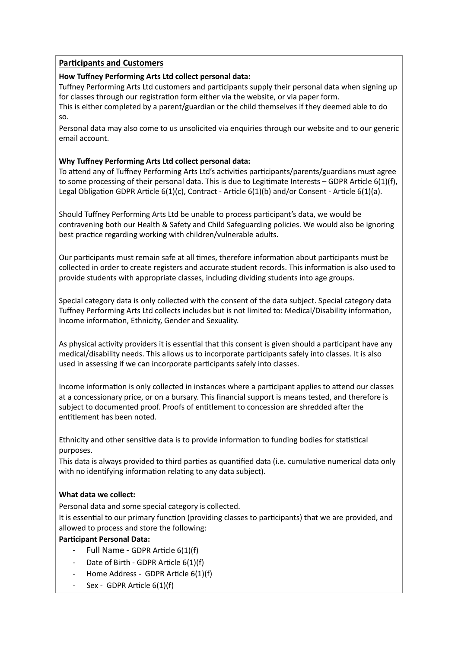# **Participants and Customers**

# **How Tuffney Performing Arts Ltd collect personal data:**

Tuffney Performing Arts Ltd customers and participants supply their personal data when signing up for classes through our registration form either via the website, or via paper form.

This is either completed by a parent/guardian or the child themselves if they deemed able to do so.

Personal data may also come to us unsolicited via enquiries through our website and to our generic email account.

# **Why Tuffney Performing Arts Ltd collect personal data:**

To attend any of Tuffney Performing Arts Ltd's activities participants/parents/guardians must agree to some processing of their personal data. This is due to Legitimate Interests – GDPR Article 6(1)(f), Legal Obligation GDPR Article  $6(1)(c)$ , Contract - Article  $6(1)(b)$  and/or Consent - Article  $6(1)(a)$ .

Should Tuffney Performing Arts Ltd be unable to process participant's data, we would be contravening both our Health & Safety and Child Safeguarding policies. We would also be ignoring best practice regarding working with children/vulnerable adults.

Our participants must remain safe at all times, therefore information about participants must be collected in order to create registers and accurate student records. This information is also used to provide students with appropriate classes, including dividing students into age groups.

Special category data is only collected with the consent of the data subject. Special category data Tuffney Performing Arts Ltd collects includes but is not limited to: Medical/Disability information, Income information, Ethnicity, Gender and Sexuality.

As physical activity providers it is essential that this consent is given should a participant have any medical/disability needs. This allows us to incorporate participants safely into classes. It is also used in assessing if we can incorporate participants safely into classes.

Income information is only collected in instances where a participant applies to attend our classes at a concessionary price, or on a bursary. This financial support is means tested, and therefore is subject to documented proof. Proofs of entitlement to concession are shredded after the entitlement has been noted.

Ethnicity and other sensitive data is to provide information to funding bodies for statistical purposes.

This data is always provided to third parties as quantified data (i.e. cumulative numerical data only with no identifying information relating to any data subject).

# **What data we collect:**

Personal data and some special category is collected.

It is essential to our primary function (providing classes to participants) that we are provided, and allowed to process and store the following:

# **Participant Personal Data:**

- Full Name GDPR Article  $6(1)(f)$
- Date of Birth GDPR Article 6(1)(f)
- Home Address GDPR Article 6(1)(f)
- Sex GDPR Article 6(1)(f)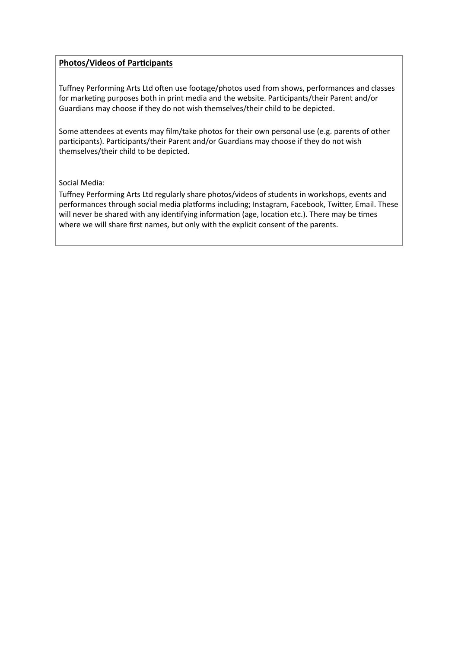# **Photos/Videos of Participants**

Tuffney Performing Arts Ltd often use footage/photos used from shows, performances and classes for marketing purposes both in print media and the website. Participants/their Parent and/or Guardians may choose if they do not wish themselves/their child to be depicted.

Some attendees at events may film/take photos for their own personal use (e.g. parents of other participants). Participants/their Parent and/or Guardians may choose if they do not wish themselves/their child to be depicted.

## Social Media:

Tuffney Performing Arts Ltd regularly share photos/videos of students in workshops, events and performances through social media platforms including; Instagram, Facebook, Twitter, Email. These will never be shared with any identifying information (age, location etc.). There may be times where we will share first names, but only with the explicit consent of the parents.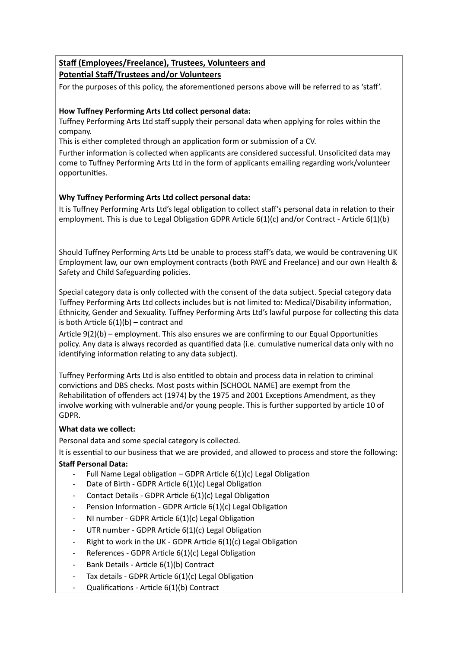# **Staff (Employees/Freelance), Trustees, Volunteers and Potential Staff/Trustees and/or Volunteers**

For the purposes of this policy, the aforementioned persons above will be referred to as 'staff'.

# **How Tuffney Performing Arts Ltd collect personal data:**

Tuffney Performing Arts Ltd staff supply their personal data when applying for roles within the company.

This is either completed through an application form or submission of a CV.

Further information is collected when applicants are considered successful. Unsolicited data may come to Tuffney Performing Arts Ltd in the form of applicants emailing regarding work/volunteer opportunities.

# **Why Tuffney Performing Arts Ltd collect personal data:**

It is Tuffney Performing Arts Ltd's legal obligation to collect staff's personal data in relation to their employment. This is due to Legal Obligation GDPR Article  $6(1)(c)$  and/or Contract - Article  $6(1)(b)$ 

Should Tuffney Performing Arts Ltd be unable to process staff's data, we would be contravening UK Employment law, our own employment contracts (both PAYE and Freelance) and our own Health & Safety and Child Safeguarding policies.

Special category data is only collected with the consent of the data subject. Special category data Tuffney Performing Arts Ltd collects includes but is not limited to: Medical/Disability information, Ethnicity, Gender and Sexuality. Tuffney Performing Arts Ltd's lawful purpose for collecting this data is both Article  $6(1)(b)$  – contract and

Article 9(2)(b) – employment. This also ensures we are confirming to our Equal Opportunities policy. Any data is always recorded as quantified data (i.e. cumulative numerical data only with no identifying information relating to any data subject).

Tuffney Performing Arts Ltd is also entitled to obtain and process data in relation to criminal convictions and DBS checks. Most posts within [SCHOOL NAME] are exempt from the Rehabilitation of offenders act (1974) by the 1975 and 2001 Exceptions Amendment, as they involve working with vulnerable and/or young people. This is further supported by article 10 of GDPR.

# **What data we collect:**

Personal data and some special category is collected.

It is essential to our business that we are provided, and allowed to process and store the following:

# **Staff Personal Data:**

- Full Name Legal obligation GDPR Article  $6(1)(c)$  Legal Obligation
- Date of Birth GDPR Article  $6(1)(c)$  Legal Obligation
- Contact Details GDPR Article 6(1)(c) Legal Obligation
- Pension Information GDPR Article  $6(1)(c)$  Legal Obligation
- NI number GDPR Article 6(1)(c) Legal Obligation
- UTR number GDPR Article  $6(1)(c)$  Legal Obligation
- Right to work in the UK GDPR Article  $6(1)(c)$  Legal Obligation
- References GDPR Article 6(1)(c) Legal Obligation
- Bank Details Article 6(1)(b) Contract
- Tax details GDPR Article  $6(1)(c)$  Legal Obligation
- Qualifications Article 6(1)(b) Contract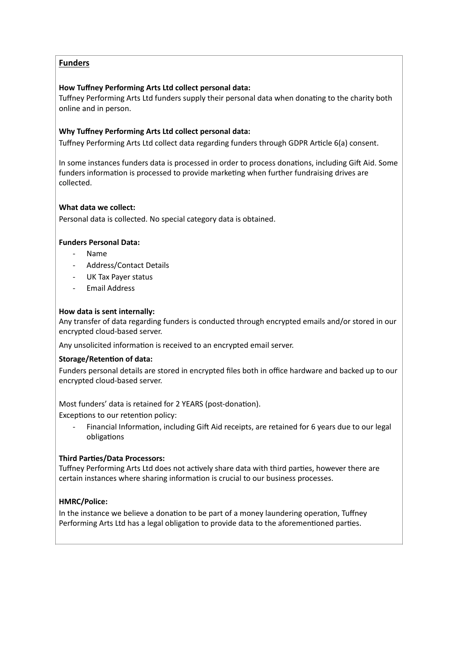# **Funders**

## **How Tuffney Performing Arts Ltd collect personal data:**

Tuffney Performing Arts Ltd funders supply their personal data when donating to the charity both online and in person.

## **Why Tuffney Performing Arts Ltd collect personal data:**

Tuffney Performing Arts Ltd collect data regarding funders through GDPR Article 6(a) consent.

In some instances funders data is processed in order to process donations, including Gift Aid. Some funders information is processed to provide marketing when further fundraising drives are collected.

## **What data we collect:**

Personal data is collected. No special category data is obtained.

## **Funders Personal Data:**

- Name
- Address/Contact Details
- UK Tax Payer status
- Email Address

#### **How data is sent internally:**

Any transfer of data regarding funders is conducted through encrypted emails and/or stored in our encrypted cloud-based server.

Any unsolicited information is received to an encrypted email server.

#### **Storage/Retention of data:**

Funders personal details are stored in encrypted files both in office hardware and backed up to our encrypted cloud-based server.

Most funders' data is retained for 2 YEARS (post-donation).

Exceptions to our retention policy:

Financial Information, including Gift Aid receipts, are retained for 6 years due to our legal obligations

#### **Third Parties/Data Processors:**

Tuffney Performing Arts Ltd does not actively share data with third parties, however there are certain instances where sharing information is crucial to our business processes.

#### **HMRC/Police:**

In the instance we believe a donation to be part of a money laundering operation, Tuffney Performing Arts Ltd has a legal obligation to provide data to the aforementioned parties.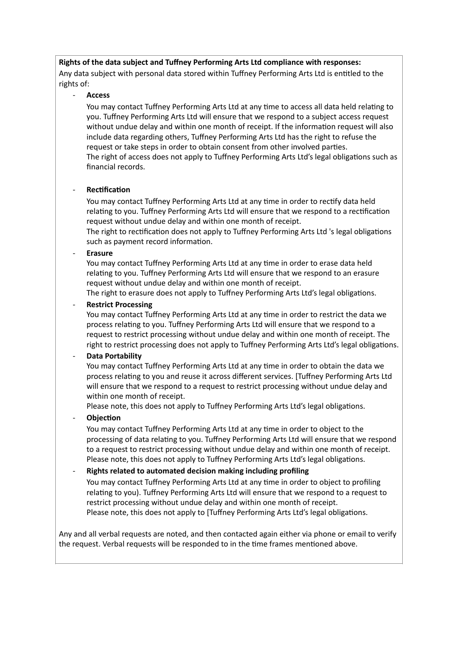## **Rights of the data subject and Tuffney Performing Arts Ltd compliance with responses:**

Any data subject with personal data stored within Tuffney Performing Arts Ltd is entitled to the rights of:

#### - **Access**

You may contact Tuffney Performing Arts Ltd at any time to access all data held relating to you. Tuffney Performing Arts Ltd will ensure that we respond to a subject access request without undue delay and within one month of receipt. If the information request will also include data regarding others, Tuffney Performing Arts Ltd has the right to refuse the request or take steps in order to obtain consent from other involved parties. The right of access does not apply to Tuffney Performing Arts Ltd's legal obligations such as financial records.

#### **Rectification**

You may contact Tuffney Performing Arts Ltd at any time in order to rectify data held relating to you. Tuffney Performing Arts Ltd will ensure that we respond to a rectification request without undue delay and within one month of receipt.

The right to rectification does not apply to Tuffney Performing Arts Ltd 's legal obligations such as payment record information.

#### - **Erasure**

You may contact Tuffney Performing Arts Ltd at any time in order to erase data held relating to you. Tuffney Performing Arts Ltd will ensure that we respond to an erasure request without undue delay and within one month of receipt.

The right to erasure does not apply to Tuffney Performing Arts Ltd's legal obligations.

## **Restrict Processing**

You may contact Tuffney Performing Arts Ltd at any time in order to restrict the data we process relating to you. Tuffney Performing Arts Ltd will ensure that we respond to a request to restrict processing without undue delay and within one month of receipt. The right to restrict processing does not apply to Tuffney Performing Arts Ltd's legal obligations.

#### - **Data Portability**

You may contact Tuffney Performing Arts Ltd at any time in order to obtain the data we process relating to you and reuse it across different services. [Tuffney Performing Arts Ltd will ensure that we respond to a request to restrict processing without undue delay and within one month of receipt.

Please note, this does not apply to Tuffney Performing Arts Ltd's legal obligations.

#### **Objection**

You may contact Tuffney Performing Arts Ltd at any time in order to object to the processing of data relating to you. Tuffney Performing Arts Ltd will ensure that we respond to a request to restrict processing without undue delay and within one month of receipt. Please note, this does not apply to Tuffney Performing Arts Ltd's legal obligations.

#### - **Rights related to automated decision making including profiling**

You may contact Tuffney Performing Arts Ltd at any time in order to object to profiling relating to you). Tuffney Performing Arts Ltd will ensure that we respond to a request to restrict processing without undue delay and within one month of receipt. Please note, this does not apply to [Tuffney Performing Arts Ltd's legal obligations.

Any and all verbal requests are noted, and then contacted again either via phone or email to verify the request. Verbal requests will be responded to in the time frames mentioned above.